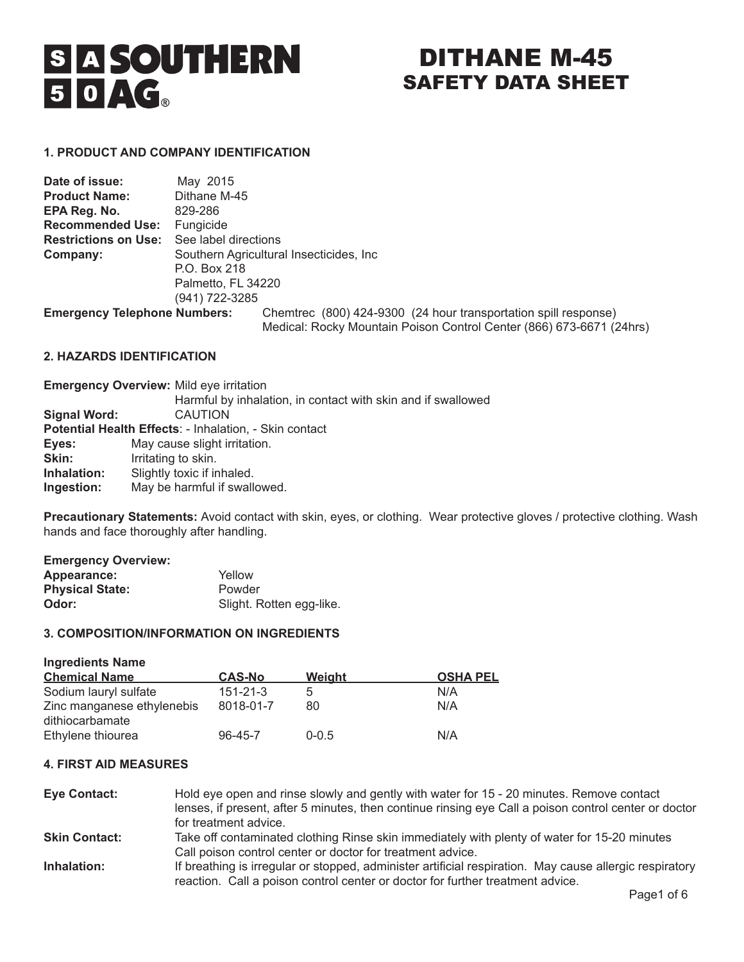# S A SOUTHERN<br>5 0 AG.

## DITHANE M-45 SAFETY DATA SHEET

#### **1. PRODUCT AND COMPANY IDENTIFICATION**

| Date of issue:                      | May 2015             |                                                                                                                                         |
|-------------------------------------|----------------------|-----------------------------------------------------------------------------------------------------------------------------------------|
| <b>Product Name:</b>                | Dithane M-45         |                                                                                                                                         |
| EPA Reg. No.                        | 829-286              |                                                                                                                                         |
| <b>Recommended Use:</b>             | Fungicide            |                                                                                                                                         |
| <b>Restrictions on Use:</b>         | See label directions |                                                                                                                                         |
| Company:                            |                      | Southern Agricultural Insecticides, Inc.                                                                                                |
|                                     | P.O. Box 218         |                                                                                                                                         |
|                                     | Palmetto, FL 34220   |                                                                                                                                         |
|                                     | (941) 722-3285       |                                                                                                                                         |
| <b>Emergency Telephone Numbers:</b> |                      | Chemtrec (800) 424-9300 (24 hour transportation spill response)<br>Medical: Rocky Mountain Poison Control Center (866) 673-6671 (24hrs) |

#### **2. HAZARDS IDENTIFICATION**

| <b>Emergency Overview: Mild eye irritation</b>               |
|--------------------------------------------------------------|
| Harmful by inhalation, in contact with skin and if swallowed |
| <b>CAUTION</b>                                               |
| Potential Health Effects: - Inhalation, - Skin contact       |
| May cause slight irritation.                                 |
| Irritating to skin.                                          |
| Slightly toxic if inhaled.                                   |
| May be harmful if swallowed.                                 |
|                                                              |

Precautionary Statements: Avoid contact with skin, eyes, or clothing. Wear protective gloves / protective clothing. Wash hands and face thoroughly after handling.

| Yellow                   |
|--------------------------|
| Powder                   |
| Slight. Rotten egg-like. |
|                          |

#### **3. COMPOSITION/INFORMATION ON INGREDIENTS**

| <b>Ingredients Name</b>    |                |               |                 |
|----------------------------|----------------|---------------|-----------------|
| <b>Chemical Name</b>       | <b>CAS-No</b>  | <b>Weight</b> | <b>OSHA PEL</b> |
| Sodium lauryl sulfate      | $151 - 21 - 3$ | 5             | N/A             |
| Zinc manganese ethylenebis | 8018-01-7      | 80            | N/A             |
| dithiocarbamate            |                |               |                 |
| Ethylene thiourea          | $96 - 45 - 7$  | $0 - 0.5$     | N/A             |

#### **4. FIRST AID MEASURES**

| <b>Eye Contact:</b>  | Hold eye open and rinse slowly and gently with water for 15 - 20 minutes. Remove contact                |
|----------------------|---------------------------------------------------------------------------------------------------------|
|                      | lenses, if present, after 5 minutes, then continue rinsing eye Call a poison control center or doctor   |
|                      | for treatment advice.                                                                                   |
| <b>Skin Contact:</b> | Take off contaminated clothing Rinse skin immediately with plenty of water for 15-20 minutes            |
|                      | Call poison control center or doctor for treatment advice.                                              |
| Inhalation:          | If breathing is irregular or stopped, administer artificial respiration. May cause allergic respiratory |
|                      | reaction. Call a poison control center or doctor for further treatment advice.                          |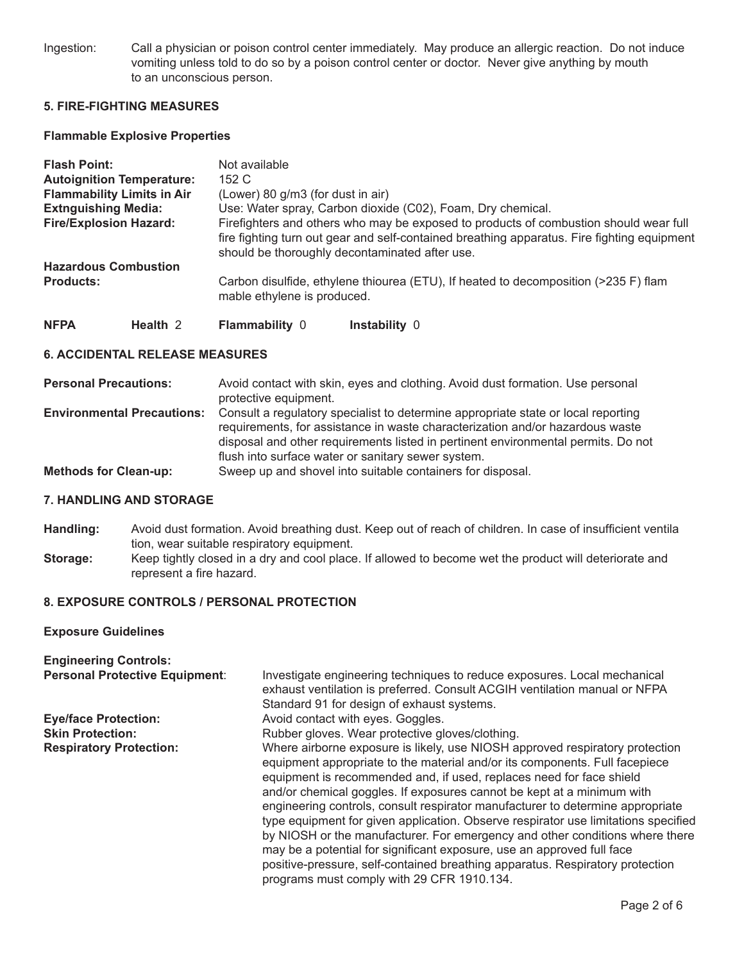Ingestion: Call a physician or poison control center immediately. May produce an allergic reaction. Do not induce vomiting unless told to do so by a poison control center or doctor. Never give anything by mouth to an unconscious person.

#### **5. FIRE-FIGHTING MEASURES**

#### **Flammable Explosive Properties**

| <b>Flash Point:</b>               | Not available                                                                                                                                                                                                                          |
|-----------------------------------|----------------------------------------------------------------------------------------------------------------------------------------------------------------------------------------------------------------------------------------|
| <b>Autoignition Temperature:</b>  | 152C                                                                                                                                                                                                                                   |
| <b>Flammability Limits in Air</b> | (Lower) 80 g/m3 (for dust in air)                                                                                                                                                                                                      |
| <b>Extnguishing Media:</b>        | Use: Water spray, Carbon dioxide (C02), Foam, Dry chemical.                                                                                                                                                                            |
| <b>Fire/Explosion Hazard:</b>     | Firefighters and others who may be exposed to products of combustion should wear full<br>fire fighting turn out gear and self-contained breathing apparatus. Fire fighting equipment<br>should be thoroughly decontaminated after use. |
| <b>Hazardous Combustion</b>       |                                                                                                                                                                                                                                        |
| <b>Products:</b>                  | Carbon disulfide, ethylene thiourea (ETU), If heated to decomposition (>235 F) flam<br>mable ethylene is produced.                                                                                                                     |

| NFPA | Health 2 | <b>Flammability 0</b> | Instability 0 |
|------|----------|-----------------------|---------------|
|------|----------|-----------------------|---------------|

#### **6. ACCIDENTAL RELEASE MEASURES**

| <b>Personal Precautions:</b>      | Avoid contact with skin, eyes and clothing. Avoid dust formation. Use personal<br>protective equipment.                                                                                                                                                                                                       |
|-----------------------------------|---------------------------------------------------------------------------------------------------------------------------------------------------------------------------------------------------------------------------------------------------------------------------------------------------------------|
| <b>Environmental Precautions:</b> | Consult a regulatory specialist to determine appropriate state or local reporting<br>requirements, for assistance in waste characterization and/or hazardous waste<br>disposal and other requirements listed in pertinent environmental permits. Do not<br>flush into surface water or sanitary sewer system. |
| <b>Methods for Clean-up:</b>      | Sweep up and shovel into suitable containers for disposal.                                                                                                                                                                                                                                                    |

#### **7. HANDLING AND STORAGE**

- **Handling:** Avoid dust formation. Avoid breathing dust. Keep out of reach of children. In case of insufficient ventila tion, wear suitable respiratory equipment.
- **Storage:** Keep tightly closed in a dry and cool place. If allowed to become wet the product will deteriorate and represent a fire hazard.

#### **8. EXPOSURE CONTROLS / PERSONAL PROTECTION**

#### **Exposure Guidelines**

| <b>Engineering Controls:</b><br>Personal Protective Equipment: | Investigate engineering techniques to reduce exposures. Local mechanical<br>exhaust ventilation is preferred. Consult ACGIH ventilation manual or NFPA<br>Standard 91 for design of exhaust systems.                                                                                                                                                                                                                                                                                                                                                                                                                                                                                                                                                                           |
|----------------------------------------------------------------|--------------------------------------------------------------------------------------------------------------------------------------------------------------------------------------------------------------------------------------------------------------------------------------------------------------------------------------------------------------------------------------------------------------------------------------------------------------------------------------------------------------------------------------------------------------------------------------------------------------------------------------------------------------------------------------------------------------------------------------------------------------------------------|
| <b>Eye/face Protection:</b>                                    | Avoid contact with eyes. Goggles.                                                                                                                                                                                                                                                                                                                                                                                                                                                                                                                                                                                                                                                                                                                                              |
| <b>Skin Protection:</b>                                        | Rubber gloves. Wear protective gloves/clothing.                                                                                                                                                                                                                                                                                                                                                                                                                                                                                                                                                                                                                                                                                                                                |
| <b>Respiratory Protection:</b>                                 | Where airborne exposure is likely, use NIOSH approved respiratory protection<br>equipment appropriate to the material and/or its components. Full facepiece<br>equipment is recommended and, if used, replaces need for face shield<br>and/or chemical goggles. If exposures cannot be kept at a minimum with<br>engineering controls, consult respirator manufacturer to determine appropriate<br>type equipment for given application. Observe respirator use limitations specified<br>by NIOSH or the manufacturer. For emergency and other conditions where there<br>may be a potential for significant exposure, use an approved full face<br>positive-pressure, self-contained breathing apparatus. Respiratory protection<br>programs must comply with 29 CFR 1910.134. |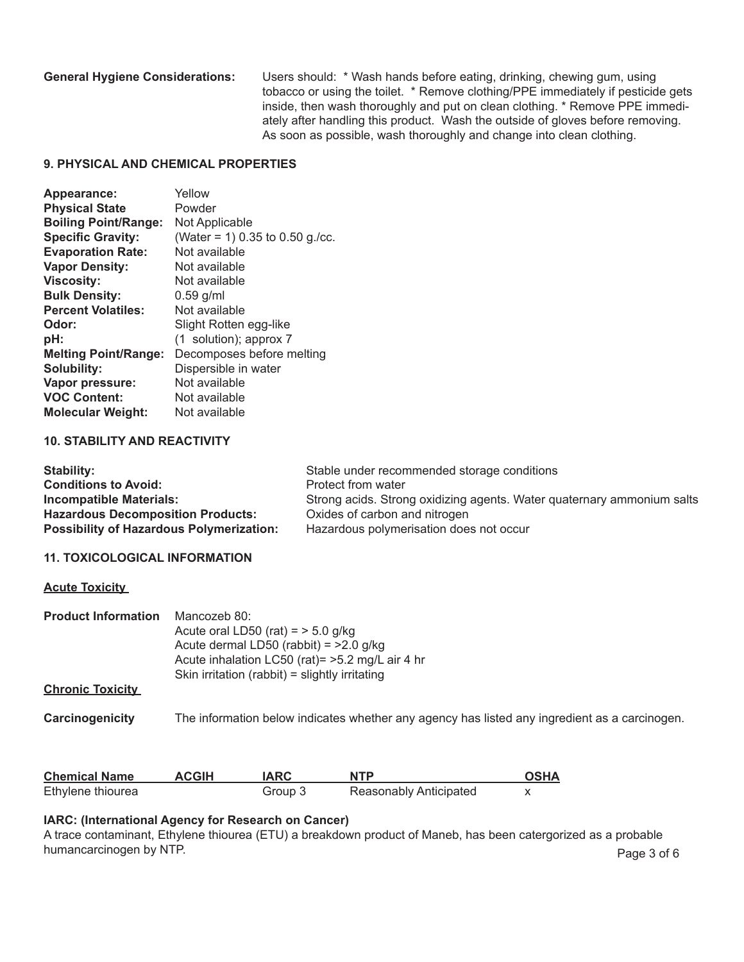**General Hygiene Considerations:** Users should: \* Wash hands before eating, drinking, chewing gum, using tobacco or using the toilet. \* Remove clothing/PPE immediately if pesticide gets inside, then wash thoroughly and put on clean clothing. \* Remove PPE immediately after handling this product. Wash the outside of gloves before removing. As soon as possible, wash thoroughly and change into clean clothing.

#### **9. PHYSICAL AND CHEMICAL PROPERTIES**

| Appearance:                 | Yellow                          |
|-----------------------------|---------------------------------|
| <b>Physical State</b>       | Powder                          |
| <b>Boiling Point/Range:</b> | Not Applicable                  |
| <b>Specific Gravity:</b>    | (Water = 1) 0.35 to 0.50 g./cc. |
| <b>Evaporation Rate:</b>    | Not available                   |
| <b>Vapor Density:</b>       | Not available                   |
| <b>Viscosity:</b>           | Not available                   |
| <b>Bulk Density:</b>        | $0.59$ g/ml                     |
| <b>Percent Volatiles:</b>   | Not available                   |
| Odor:                       | Slight Rotten egg-like          |
| pH:                         | (1 solution); approx 7          |
| <b>Melting Point/Range:</b> | Decomposes before melting       |
| <b>Solubility:</b>          | Dispersible in water            |
| Vapor pressure:             | Not available                   |
| <b>VOC Content:</b>         | Not available                   |
| <b>Molecular Weight:</b>    | Not available                   |

#### **10. STABILITY AND REACTIVITY**

| Stability:                                      | Stable under recommended storage conditions                            |
|-------------------------------------------------|------------------------------------------------------------------------|
| <b>Conditions to Avoid:</b>                     | Protect from water                                                     |
| <b>Incompatible Materials:</b>                  | Strong acids. Strong oxidizing agents. Water quaternary ammonium salts |
| <b>Hazardous Decomposition Products:</b>        | Oxides of carbon and nitrogen                                          |
| <b>Possibility of Hazardous Polymerization:</b> | Hazardous polymerisation does not occur                                |

#### **11. TOXICOLOGICAL INFORMATION**

#### **Acute Toxicity**

| <b>Product Information</b> | Mancozeb 80:                                                                                  |  |  |
|----------------------------|-----------------------------------------------------------------------------------------------|--|--|
|                            | Acute oral LD50 (rat) = $>$ 5.0 g/kg                                                          |  |  |
|                            | Acute dermal LD50 (rabbit) = $>2.0$ g/kg                                                      |  |  |
|                            | Acute inhalation LC50 (rat) = > 5.2 mg/L air 4 hr                                             |  |  |
|                            | Skin irritation (rabbit) = slightly irritating                                                |  |  |
| <b>Chronic Toxicity</b>    |                                                                                               |  |  |
| Carcinogenicity            | The information below indicates whether any agency has listed any ingredient as a carcinogen. |  |  |
|                            |                                                                                               |  |  |
|                            |                                                                                               |  |  |

| <b>Chemical Name</b> | <b>ACGIH</b> | <b>IARC</b> | <b>NTP</b>             | <b>OSHA</b> |
|----------------------|--------------|-------------|------------------------|-------------|
| Ethylene thiourea    |              | Group 3     | Reasonably Anticipated |             |

#### **IARC: (International Agency for Research on Cancer)**

A trace contaminant, Ethylene thiourea (ETU) a breakdown product of Maneb, has been catergorized as a probable humancarcinogen by NTP. Page 3 of 6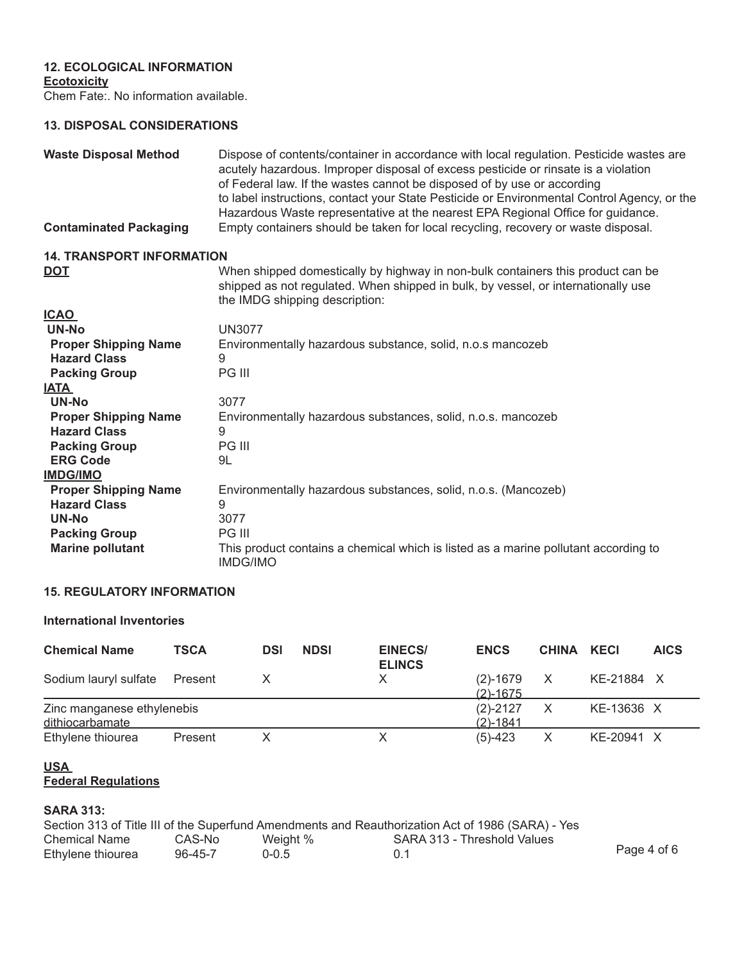#### **12. ECOLOGICAL INFORMATION**

**Ecotoxicity**

Chem Fate:. No information available.

#### **13. DISPOSAL CONSIDERATIONS**

| <b>Waste Disposal Method</b><br><b>Contaminated Packaging</b> | Dispose of contents/container in accordance with local regulation. Pesticide wastes are<br>acutely hazardous. Improper disposal of excess pesticide or rinsate is a violation<br>of Federal law. If the wastes cannot be disposed of by use or according<br>to label instructions, contact your State Pesticide or Environmental Control Agency, or the<br>Hazardous Waste representative at the nearest EPA Regional Office for guidance.<br>Empty containers should be taken for local recycling, recovery or waste disposal. |
|---------------------------------------------------------------|---------------------------------------------------------------------------------------------------------------------------------------------------------------------------------------------------------------------------------------------------------------------------------------------------------------------------------------------------------------------------------------------------------------------------------------------------------------------------------------------------------------------------------|
| <b>14. TRANSPORT INFORMATION</b>                              |                                                                                                                                                                                                                                                                                                                                                                                                                                                                                                                                 |
| <u>DOT</u>                                                    | When shipped domestically by highway in non-bulk containers this product can be<br>shipped as not regulated. When shipped in bulk, by vessel, or internationally use<br>the IMDG shipping description:                                                                                                                                                                                                                                                                                                                          |
| <u>ICAO</u>                                                   |                                                                                                                                                                                                                                                                                                                                                                                                                                                                                                                                 |
| UN-No                                                         | <b>UN3077</b>                                                                                                                                                                                                                                                                                                                                                                                                                                                                                                                   |
| <b>Proper Shipping Name</b>                                   | Environmentally hazardous substance, solid, n.o.s mancozeb                                                                                                                                                                                                                                                                                                                                                                                                                                                                      |
| <b>Hazard Class</b>                                           | 9                                                                                                                                                                                                                                                                                                                                                                                                                                                                                                                               |
| <b>Packing Group</b>                                          | PG III                                                                                                                                                                                                                                                                                                                                                                                                                                                                                                                          |
| <u>IATA </u>                                                  |                                                                                                                                                                                                                                                                                                                                                                                                                                                                                                                                 |
| <b>UN-No</b>                                                  | 3077                                                                                                                                                                                                                                                                                                                                                                                                                                                                                                                            |
| <b>Proper Shipping Name</b>                                   | Environmentally hazardous substances, solid, n.o.s. mancozeb                                                                                                                                                                                                                                                                                                                                                                                                                                                                    |
| <b>Hazard Class</b>                                           | 9                                                                                                                                                                                                                                                                                                                                                                                                                                                                                                                               |
| <b>Packing Group</b>                                          | PG III                                                                                                                                                                                                                                                                                                                                                                                                                                                                                                                          |
| <b>ERG Code</b>                                               | 9L                                                                                                                                                                                                                                                                                                                                                                                                                                                                                                                              |
| <b>IMDG/IMO</b>                                               |                                                                                                                                                                                                                                                                                                                                                                                                                                                                                                                                 |
| <b>Proper Shipping Name</b>                                   | Environmentally hazardous substances, solid, n.o.s. (Mancozeb)                                                                                                                                                                                                                                                                                                                                                                                                                                                                  |
| <b>Hazard Class</b>                                           | 9                                                                                                                                                                                                                                                                                                                                                                                                                                                                                                                               |
| <b>UN-No</b>                                                  | 3077                                                                                                                                                                                                                                                                                                                                                                                                                                                                                                                            |
| <b>Packing Group</b>                                          | <b>PG III</b>                                                                                                                                                                                                                                                                                                                                                                                                                                                                                                                   |
| <b>Marine pollutant</b>                                       | This product contains a chemical which is listed as a marine pollutant according to<br><b>IMDG/IMO</b>                                                                                                                                                                                                                                                                                                                                                                                                                          |

### **15. REGULATORY INFORMATION**

#### **International Inventories**

| <b>Chemical Name</b>                          | <b>TSCA</b> | <b>DSI</b> | <b>NDSI</b> | <b>EINECS/</b><br><b>ELINCS</b> | <b>ENCS</b>                  | <b>CHINA</b> | KECI       | <b>AICS</b> |
|-----------------------------------------------|-------------|------------|-------------|---------------------------------|------------------------------|--------------|------------|-------------|
| Sodium lauryl sulfate                         | Present     |            |             |                                 | $(2) - 1679$<br>$(2) - 1675$ | X            | KE-21884 X |             |
| Zinc manganese ethylenebis<br>dithiocarbamate |             |            |             |                                 | $(2)-2127$<br>$(2) - 1841$   |              | KE-13636 X |             |
| Ethylene thiourea                             | Present     |            |             |                                 | $(5)-423$                    | X            | KE-20941 X |             |

#### **USA Federal Regulations**

#### **SARA 313:**

|                      |         |           | Section 313 of Title III of the Superfund Amendments and Reauthorization Act of 1986 (SARA) - Yes |             |
|----------------------|---------|-----------|---------------------------------------------------------------------------------------------------|-------------|
| <b>Chemical Name</b> | CAS-No  | Weight %  | SARA 313 - Threshold Values                                                                       |             |
| Ethylene thiourea    | 96-45-7 | $0 - 0.5$ | 0.1                                                                                               | Page 4 of 6 |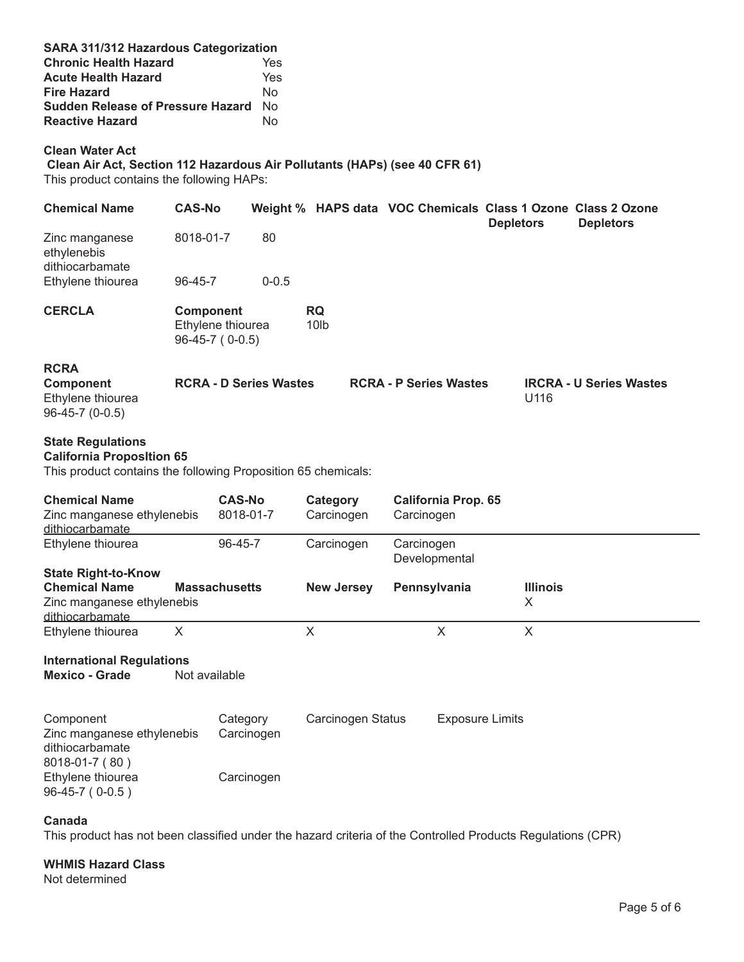| SARA 311/312 Hazardous Categorization<br><b>Chronic Health Hazard</b><br><b>Acute Health Hazard</b><br><b>Fire Hazard</b><br><b>Sudden Release of Pressure Hazard</b> No<br><b>Reactive Hazard</b> |                                       |                            | Yes<br>Yes<br><b>No</b><br>No |                               |              |                               |                      |                                                                                  |
|----------------------------------------------------------------------------------------------------------------------------------------------------------------------------------------------------|---------------------------------------|----------------------------|-------------------------------|-------------------------------|--------------|-------------------------------|----------------------|----------------------------------------------------------------------------------|
| <b>Clean Water Act</b><br>Clean Air Act, Section 112 Hazardous Air Pollutants (HAPs) (see 40 CFR 61)<br>This product contains the following HAPs:                                                  |                                       |                            |                               |                               |              |                               |                      |                                                                                  |
| <b>Chemical Name</b>                                                                                                                                                                               | <b>CAS-No</b>                         |                            |                               |                               |              |                               | <b>Depletors</b>     | Weight % HAPS data VOC Chemicals Class 1 Ozone Class 2 Ozone<br><b>Depletors</b> |
| Zinc manganese<br>ethylenebis<br>dithiocarbamate                                                                                                                                                   | 8018-01-7                             |                            | 80                            |                               |              |                               |                      |                                                                                  |
| Ethylene thiourea                                                                                                                                                                                  | 96-45-7                               |                            | $0 - 0.5$                     |                               |              |                               |                      |                                                                                  |
| <b>CERCLA</b>                                                                                                                                                                                      | <b>Component</b><br>$96-45-7$ (0-0.5) | Ethylene thiourea          |                               | <b>RQ</b><br>10 <sub>lb</sub> |              |                               |                      |                                                                                  |
| <b>RCRA</b><br>Component<br>Ethylene thiourea<br>96-45-7 (0-0.5)                                                                                                                                   |                                       |                            | <b>RCRA - D Series Wastes</b> |                               |              | <b>RCRA - P Series Wastes</b> | U116                 | <b>IRCRA - U Series Wastes</b>                                                   |
| <b>State Regulations</b><br><b>California Proposition 65</b><br>This product contains the following Proposition 65 chemicals:                                                                      |                                       |                            |                               |                               |              |                               |                      |                                                                                  |
| <b>Chemical Name</b><br>Zinc manganese ethylenebis<br>dithiocarbamate                                                                                                                              |                                       | <b>CAS-No</b><br>8018-01-7 |                               | Category<br>Carcinogen        | Carcinogen   | <b>California Prop. 65</b>    |                      |                                                                                  |
| Ethylene thiourea                                                                                                                                                                                  |                                       | 96-45-7                    |                               | Carcinogen                    | Carcinogen   | Developmental                 |                      |                                                                                  |
| <b>State Right-to-Know</b><br><b>Chemical Name</b><br>Zinc manganese ethylenebis<br>dithiocarbamate                                                                                                | <b>Massachusetts</b>                  |                            |                               | <b>New Jersey</b>             | Pennsylvania |                               | <b>Illinois</b><br>X |                                                                                  |
| Ethylene thiourea                                                                                                                                                                                  | X                                     |                            |                               | $\mathsf{X}$                  |              | X                             | $\mathsf{X}$         |                                                                                  |
| <b>International Regulations</b><br><b>Mexico - Grade</b>                                                                                                                                          | Not available                         |                            |                               |                               |              |                               |                      |                                                                                  |
| Component<br>Zinc manganese ethylenebis<br>dithiocarbamate<br>8018-01-7 (80)                                                                                                                       |                                       | Category<br>Carcinogen     | Carcinogen Status             |                               |              | <b>Exposure Limits</b>        |                      |                                                                                  |
| Ethylene thiourea<br>96-45-7 (0-0.5)                                                                                                                                                               |                                       | Carcinogen                 |                               |                               |              |                               |                      |                                                                                  |
| Canada                                                                                                                                                                                             |                                       |                            |                               |                               |              |                               |                      |                                                                                  |

This product has not been classified under the hazard criteria of the Controlled Products Regulations (CPR)

#### **WHMIS Hazard Class**

Not determined